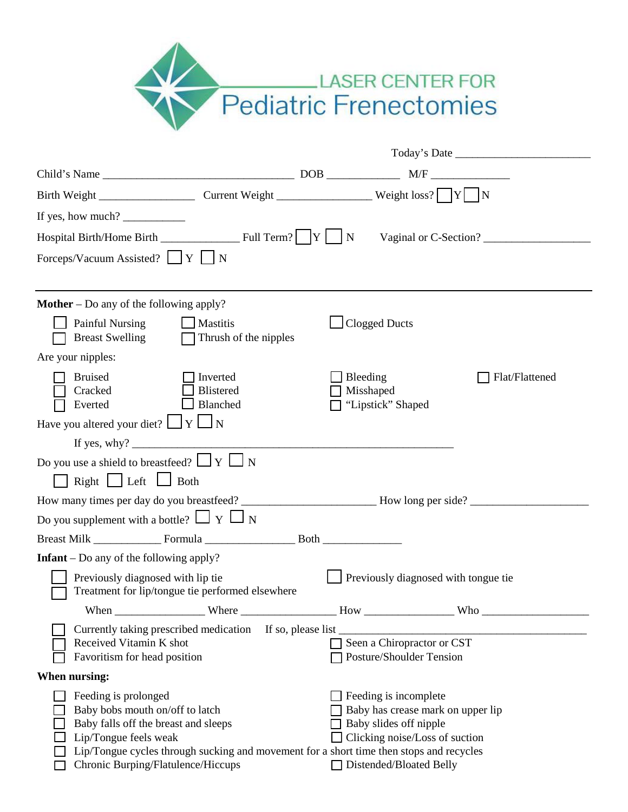

| If yes, how much? $\frac{1}{\sqrt{1-\frac{1}{2}}}\left\vert \frac{1}{\sqrt{1-\frac{1}{2}}}\right\vert$                                                                                                                                                                                                                                                                                                                                             |                                   |                                                                                                                                                     |                |  |  |  |  |  |
|----------------------------------------------------------------------------------------------------------------------------------------------------------------------------------------------------------------------------------------------------------------------------------------------------------------------------------------------------------------------------------------------------------------------------------------------------|-----------------------------------|-----------------------------------------------------------------------------------------------------------------------------------------------------|----------------|--|--|--|--|--|
| Vaginal or C-Section?                                                                                                                                                                                                                                                                                                                                                                                                                              |                                   |                                                                                                                                                     |                |  |  |  |  |  |
| Forceps/Vacuum Assisted? $\Box Y$ $\Box$ N                                                                                                                                                                                                                                                                                                                                                                                                         |                                   |                                                                                                                                                     |                |  |  |  |  |  |
|                                                                                                                                                                                                                                                                                                                                                                                                                                                    |                                   |                                                                                                                                                     |                |  |  |  |  |  |
| <b>Mother</b> – Do any of the following apply?                                                                                                                                                                                                                                                                                                                                                                                                     |                                   |                                                                                                                                                     |                |  |  |  |  |  |
| Painful Nursing<br>$\Box$ Mastitis<br><b>Breast Swelling</b>                                                                                                                                                                                                                                                                                                                                                                                       | $\Box$ Thrush of the nipples      | <b>Clogged Ducts</b>                                                                                                                                |                |  |  |  |  |  |
| Are your nipples:                                                                                                                                                                                                                                                                                                                                                                                                                                  |                                   |                                                                                                                                                     |                |  |  |  |  |  |
| <b>Bruised</b><br>Cracked<br>Everted                                                                                                                                                                                                                                                                                                                                                                                                               | Inverted<br>Blistered<br>Blanched | Bleeding<br>Misshaped<br>"Lipstick" Shaped                                                                                                          | Flat/Flattened |  |  |  |  |  |
| Have you altered your diet? $\Box Y \Box N$                                                                                                                                                                                                                                                                                                                                                                                                        |                                   |                                                                                                                                                     |                |  |  |  |  |  |
|                                                                                                                                                                                                                                                                                                                                                                                                                                                    |                                   |                                                                                                                                                     |                |  |  |  |  |  |
| Do you use a shield to breastfeed? $\Box Y \Box N$                                                                                                                                                                                                                                                                                                                                                                                                 |                                   |                                                                                                                                                     |                |  |  |  |  |  |
| $Right$ Left $\Box$ Both                                                                                                                                                                                                                                                                                                                                                                                                                           |                                   |                                                                                                                                                     |                |  |  |  |  |  |
|                                                                                                                                                                                                                                                                                                                                                                                                                                                    |                                   |                                                                                                                                                     |                |  |  |  |  |  |
| Do you supplement with a bottle? $\Box Y \Box N$                                                                                                                                                                                                                                                                                                                                                                                                   |                                   |                                                                                                                                                     |                |  |  |  |  |  |
|                                                                                                                                                                                                                                                                                                                                                                                                                                                    |                                   |                                                                                                                                                     |                |  |  |  |  |  |
| <b>Infant</b> – Do any of the following apply?                                                                                                                                                                                                                                                                                                                                                                                                     |                                   |                                                                                                                                                     |                |  |  |  |  |  |
| Previously diagnosed with lip tie<br>Treatment for lip/tongue tie performed elsewhere                                                                                                                                                                                                                                                                                                                                                              |                                   | Previously diagnosed with tongue tie                                                                                                                |                |  |  |  |  |  |
| When $\frac{1}{\sqrt{1-\frac{1}{2}} \cdot \frac{1}{2} \cdot \frac{1}{2} \cdot \frac{1}{2} \cdot \frac{1}{2} \cdot \frac{1}{2} \cdot \frac{1}{2} \cdot \frac{1}{2} \cdot \frac{1}{2} \cdot \frac{1}{2} \cdot \frac{1}{2} \cdot \frac{1}{2} \cdot \frac{1}{2} \cdot \frac{1}{2} \cdot \frac{1}{2} \cdot \frac{1}{2} \cdot \frac{1}{2} \cdot \frac{1}{2} \cdot \frac{1}{2} \cdot \frac{1}{2} \cdot \frac{1}{2} \cdot \frac{1}{2} \cdot \frac{1}{2} \$ |                                   |                                                                                                                                                     |                |  |  |  |  |  |
| Currently taking prescribed medication If so, please list _<br>Received Vitamin K shot<br>Favoritism for head position                                                                                                                                                                                                                                                                                                                             |                                   | Seen a Chiropractor or CST<br>Posture/Shoulder Tension                                                                                              |                |  |  |  |  |  |
| When nursing:                                                                                                                                                                                                                                                                                                                                                                                                                                      |                                   |                                                                                                                                                     |                |  |  |  |  |  |
| Feeding is prolonged<br>Baby bobs mouth on/off to latch<br>Baby falls off the breast and sleeps<br>Lip/Tongue feels weak<br>Lip/Tongue cycles through sucking and movement for a short time then stops and recycles<br>Chronic Burping/Flatulence/Hiccups                                                                                                                                                                                          |                                   | Feeding is incomplete<br>Baby has crease mark on upper lip<br>Baby slides off nipple<br>Clicking noise/Loss of suction<br>□ Distended/Bloated Belly |                |  |  |  |  |  |